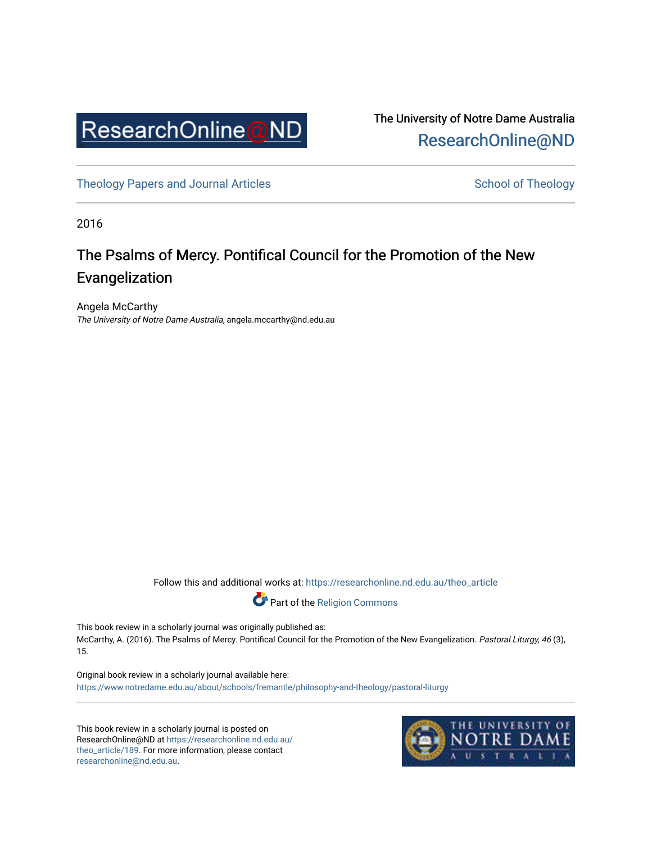

The University of Notre Dame Australia [ResearchOnline@ND](https://researchonline.nd.edu.au/) 

[Theology Papers and Journal Articles](https://researchonline.nd.edu.au/theo_article) and [School of Theology](https://researchonline.nd.edu.au/theo) School of Theology

2016

## The Psalms of Mercy. Pontifical Council for the Promotion of the New Evangelization

Angela McCarthy The University of Notre Dame Australia, angela.mccarthy@nd.edu.au

Follow this and additional works at: [https://researchonline.nd.edu.au/theo\\_article](https://researchonline.nd.edu.au/theo_article?utm_source=researchonline.nd.edu.au%2Ftheo_article%2F189&utm_medium=PDF&utm_campaign=PDFCoverPages) 



This book review in a scholarly journal was originally published as: McCarthy, A. (2016). The Psalms of Mercy. Pontifical Council for the Promotion of the New Evangelization. Pastoral Liturgy, 46 (3), 15.

Original book review in a scholarly journal available here: <https://www.notredame.edu.au/about/schools/fremantle/philosophy-and-theology/pastoral-liturgy>

This book review in a scholarly journal is posted on ResearchOnline@ND at [https://researchonline.nd.edu.au/](https://researchonline.nd.edu.au/theo_article/189) [theo\\_article/189](https://researchonline.nd.edu.au/theo_article/189). For more information, please contact [researchonline@nd.edu.au.](mailto:researchonline@nd.edu.au)

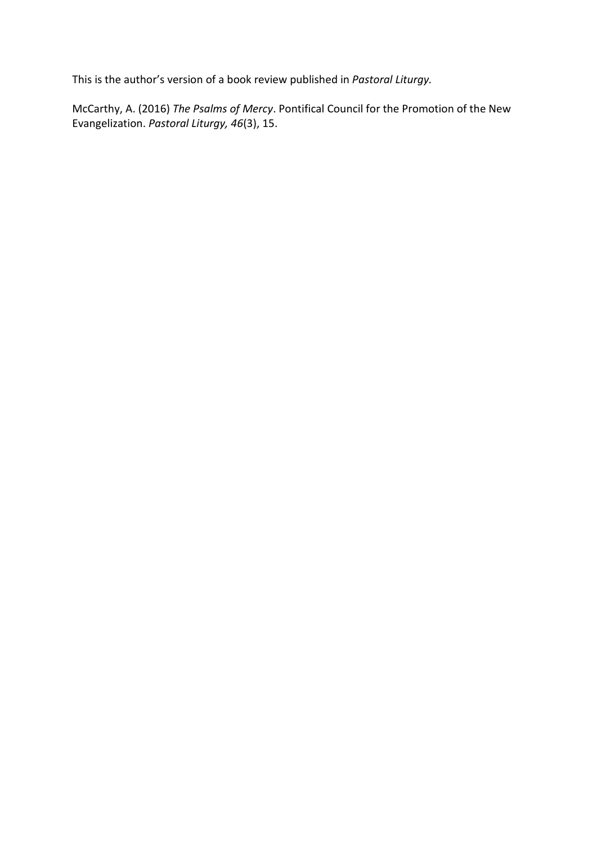This is the author's version of a book review published in *Pastoral Liturgy.*

McCarthy, A. (2016) *The Psalms of Mercy*. Pontifical Council for the Promotion of the New Evangelization. *Pastoral Liturgy, 46*(3), 15.